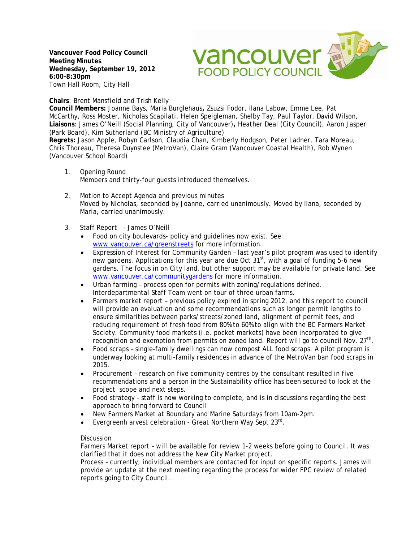**Vancouver Food Policy Council Meeting Minutes Wednesday, September 19, 2012 6:00-8:30pm** Town Hall Room, City Hall

vancouver av **FOOD POLICY COUNCIL** 

**Chairs**: Brent Mansfield and Trish Kelly

**Council Members:** Joanne Bays, Maria Burglehaus**,** Zsuzsi Fodor, Ilana Labow, Emme Lee, Pat McCarthy, Ross Moster, Nicholas Scapilati, Helen Speigleman, Shelby Tay, Paul Taylor, David Wilson, **Liaisons**: James O'Neill (Social Planning, City of Vancouver)**,** Heather Deal (City Council), Aaron Jasper (Park Board), Kim Sutherland (BC Ministry of Agriculture)

**Regrets:** Jason Apple, Robyn Carlson, Claudia Chan, Kimberly Hodgson, Peter Ladner, Tara Moreau, Chris Thoreau, Theresa Duynstee (MetroVan), Claire Gram (Vancouver Coastal Health), Rob Wynen (Vancouver School Board)

- 1. Opening Round Members and thirty-four guests introduced themselves.
- 2. Motion to Accept Agenda and previous minutes Moved by Nicholas, seconded by Joanne, carried unanimously. Moved by Ilana, seconded by Maria, carried unanimously.
- 3. Staff Report James O'Neill
	- Food on city boulevards- policy and guidelines now exist. See [www.vancouver.ca/greenstreets](http://www.vancouver.ca/greenstreets) for more information.
	- Expression of Interest for Community Garden last year's pilot program was used to identify new gardens. Applications for this year are due Oct  $31<sup>st</sup>$ , with a goal of funding 5-6 new gardens. The focus in on City land, but other support may be available for private land. See [www.vancouver.ca/communitygardens](http://www.vancouver.ca/communitygardens) for more information.
	- Urban farming process open for permits with zoning/regulations defined. Interdepartmental Staff Team went on tour of three urban farms.
	- Farmers market report previous policy expired in spring 2012, and this report to council will provide an evaluation and some recommendations such as longer permit lengths to ensure similarities between parks/streets/zoned land, alignment of permit fees, and reducing requirement of fresh food from 80% to 60% to align with the BC Farmers Market Society. Community food markets (i.e. pocket markets) have been incorporated to give recognition and exemption from permits on zoned land. Report will go to council Nov.  $27<sup>th</sup>$ .
	- Food scraps single-family dwellings can now compost ALL food scraps. A pilot program is underway looking at multi-family residences in advance of the MetroVan ban food scraps in 2015.
	- Procurement research on five community centres by the consultant resulted in five recommendations and a person in the Sustainability office has been secured to look at the project scope and next steps.
	- Food strategy staff is now working to complete, and is in discussions regarding the best approach to bring forward to Council
	- New Farmers Market at Boundary and Marine Saturdays from 10am-2pm.
	- Evergreenh arvest celebration Great Northern Way Sept 23<sup>rd</sup>.

## Discussion

Farmers Market report – will be available for review 1-2 weeks before going to Council. It was clarified that it does not address the New City Market project.

Process – currently, individual members are contacted for input on specific reports. James will provide an update at the next meeting regarding the process for wider FPC review of related reports going to City Council.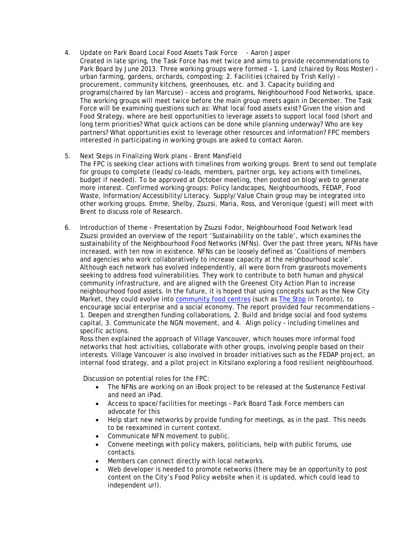- 4. Update on Park Board Local Food Assets Task Force Aaron Jasper Created in late spring, the Task Force has met twice and aims to provide recommendations to Park Board by June 2013. Three working groups were formed - 1. Land (chaired by Ross Moster) urban farming, gardens, orchards, composting; 2. Facilities (chaired by Trish Kelly) procurement, community kitchens, greenhouses, etc. and 3. Capacity building and programs(chaired by Ian Marcuse) - access and programs, Neighbourhood Food Networks, space. The working groups will meet twice before the main group meets again in December. The Task Force will be examining questions such as: What local food assets exist? Given the vision and Food Strategy, where are best opportunities to leverage assets to support local food (short and long term priorities? What quick actions can be done while planning underway? Who are key partners? What opportunities exist to leverage other resources and information? FPC members interested in participating in working groups are asked to contact Aaron.
- 5. Next Steps in Finalizing Work plans Brent Mansfield The FPC is seeking clear actions with timelines from working groups. Brent to send out template for groups to complete (leads/co-leads, members, partner orgs, key actions with timelines, budget if needed). To be approved at October meeting, then posted on blog/web to generate more interest. Confirmed working groups: Policy landscapes, Neighbourhoods, FEDAP, Food Waste, Information/Accessibility/Literacy. Supply/Value Chain group may be integrated into other working groups. Emme, Shelby, Zsuzsi, Maria, Ross, and Veronique (guest) will meet with Brent to discuss role of Research.
- 6. Introduction of theme Presentation by Zsuzsi Fodor, Neighbourhood Food Network lead Zsuzsi provided an overview of the report 'Sustainability on the table', which examines the sustainability of the Neighbourhood Food Networks (NFNs). Over the past three years, NFNs have increased, with ten now in existence. NFNs can be loosely defined as 'Coalitions of members and agencies who work collaboratively to increase capacity at the neighbourhood scale'. Although each network has evolved independently, all were born from grassroots movements seeking to address food vulnerabilities. They work to contribute to both human and physical community infrastructure, and are aligned with the Greenest City Action Plan to increase neighbourhood food assets. In the future, it is hoped that using concepts such as the New City Market, they could evolve into [community food centres](http://cfccanada.ca/) (such as [The Stop](http://www.thestop.org/) in Toronto), to encourage social enterprise and a social economy. The report provided four recommendations – 1. Deepen and strengthen funding collaborations, 2. Build and bridge social and food systems capital, 3. Communicate the NGN movement, and 4. Align policy - including timelines and specific actions.

Ross then explained the approach of Village Vancouver, which houses more informal food networks that host activities, collaborate with other groups, involving people based on their interests. Village Vancouver is also involved in broader initiatives such as the FEDAP project, an internal food strategy, and a pilot project in Kitsilano exploring a food resilient neighbourhood.

Discussion on potential roles for the FPC:

- The NFNs are working on an iBook project to be released at the Sustenance Festival and need an iPad.
- Access to space/facilities for meetings Park Board Task Force members can advocate for this
- Help start new networks by provide funding for meetings, as in the past. This needs to be reexamined in current context.
- Communicate NFN movement to public.
- Convene meetings with policy makers, politicians, help with public forums, use contacts.
- Members can connect directly with local networks.
- Web developer is needed to promote networks (there may be an opportunity to post content on the City's Food Policy website when it is updated, which could lead to independent url).